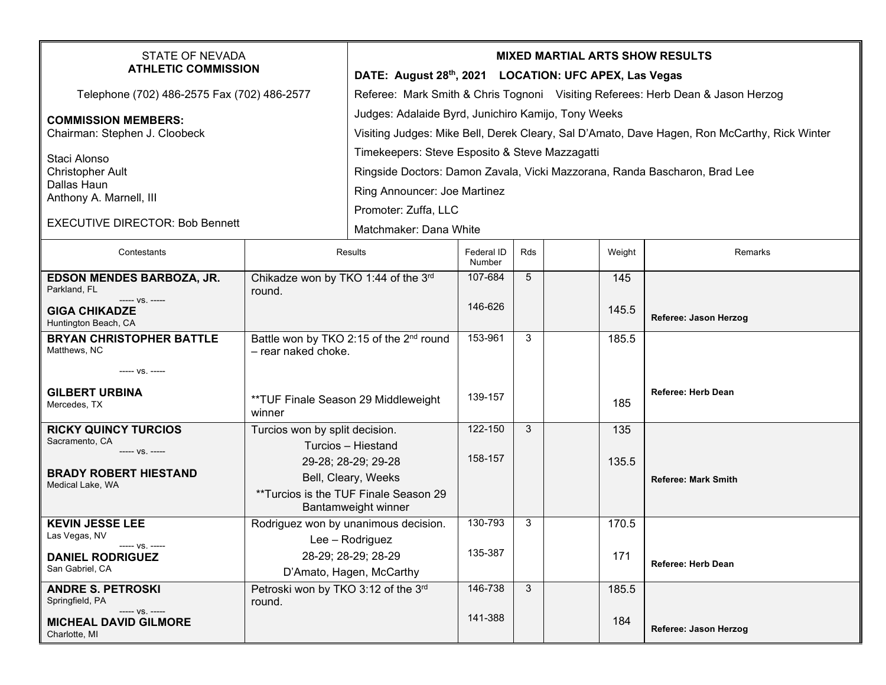| <b>STATE OF NEVADA</b><br><b>ATHLETIC COMMISSION</b>                                                                                             |                                                             | <b>MIXED MARTIAL ARTS SHOW RESULTS</b><br>DATE: August 28th, 2021 LOCATION: UFC APEX, Las Vegas |                      |     |  |        |                            |  |  |
|--------------------------------------------------------------------------------------------------------------------------------------------------|-------------------------------------------------------------|-------------------------------------------------------------------------------------------------|----------------------|-----|--|--------|----------------------------|--|--|
| Telephone (702) 486-2575 Fax (702) 486-2577                                                                                                      |                                                             | Referee: Mark Smith & Chris Tognoni Visiting Referees: Herb Dean & Jason Herzog                 |                      |     |  |        |                            |  |  |
|                                                                                                                                                  |                                                             | Judges: Adalaide Byrd, Junichiro Kamijo, Tony Weeks                                             |                      |     |  |        |                            |  |  |
| <b>COMMISSION MEMBERS:</b><br>Chairman: Stephen J. Cloobeck<br>Staci Alonso<br><b>Christopher Ault</b><br>Dallas Haun<br>Anthony A. Marnell, III |                                                             | Visiting Judges: Mike Bell, Derek Cleary, Sal D'Amato, Dave Hagen, Ron McCarthy, Rick Winter    |                      |     |  |        |                            |  |  |
|                                                                                                                                                  |                                                             | Timekeepers: Steve Esposito & Steve Mazzagatti                                                  |                      |     |  |        |                            |  |  |
|                                                                                                                                                  |                                                             |                                                                                                 |                      |     |  |        |                            |  |  |
|                                                                                                                                                  |                                                             | Ringside Doctors: Damon Zavala, Vicki Mazzorana, Randa Bascharon, Brad Lee                      |                      |     |  |        |                            |  |  |
|                                                                                                                                                  |                                                             | Ring Announcer: Joe Martinez                                                                    |                      |     |  |        |                            |  |  |
| <b>EXECUTIVE DIRECTOR: Bob Bennett</b>                                                                                                           |                                                             | Promoter: Zuffa, LLC                                                                            |                      |     |  |        |                            |  |  |
|                                                                                                                                                  |                                                             | Matchmaker: Dana White                                                                          |                      |     |  |        |                            |  |  |
| Contestants                                                                                                                                      | Results                                                     |                                                                                                 | Federal ID<br>Number | Rds |  | Weight | Remarks                    |  |  |
| EDSON MENDES BARBOZA, JR.                                                                                                                        | Chikadze won by TKO 1:44 of the 3rd                         |                                                                                                 | 107-684              | 5   |  | 145    |                            |  |  |
| Parkland, FL<br>----- VS. -----                                                                                                                  | round.                                                      |                                                                                                 | 146-626              |     |  |        |                            |  |  |
| <b>GIGA CHIKADZE</b><br>Huntington Beach, CA                                                                                                     |                                                             |                                                                                                 |                      |     |  | 145.5  | Referee: Jason Herzog      |  |  |
| <b>BRYAN CHRISTOPHER BATTLE</b>                                                                                                                  | Battle won by TKO 2:15 of the 2 <sup>nd</sup> round         |                                                                                                 | 153-961              | 3   |  | 185.5  |                            |  |  |
| Matthews, NC                                                                                                                                     | - rear naked choke.                                         |                                                                                                 |                      |     |  |        |                            |  |  |
| ----- VS. -----                                                                                                                                  |                                                             |                                                                                                 |                      |     |  |        |                            |  |  |
| <b>GILBERT URBINA</b>                                                                                                                            | **TUF Finale Season 29 Middleweight<br>winner               |                                                                                                 | 139-157              |     |  |        | <b>Referee: Herb Dean</b>  |  |  |
| Mercedes, TX                                                                                                                                     |                                                             |                                                                                                 |                      |     |  | 185    |                            |  |  |
| <b>RICKY QUINCY TURCIOS</b>                                                                                                                      | Turcios won by split decision.                              |                                                                                                 | 122-150              | 3   |  | 135    |                            |  |  |
| Sacramento, CA<br>----- VS. -----                                                                                                                | Turcios - Hiestand                                          |                                                                                                 |                      |     |  |        |                            |  |  |
|                                                                                                                                                  |                                                             | 29-28; 28-29; 29-28                                                                             | 158-157              |     |  | 135.5  |                            |  |  |
| <b>BRADY ROBERT HIESTAND</b><br>Medical Lake, WA                                                                                                 |                                                             | Bell, Cleary, Weeks                                                                             |                      |     |  |        | <b>Referee: Mark Smith</b> |  |  |
|                                                                                                                                                  |                                                             | **Turcios is the TUF Finale Season 29                                                           |                      |     |  |        |                            |  |  |
| <b>KEVIN JESSE LEE</b>                                                                                                                           | Bantamweight winner<br>Rodriguez won by unanimous decision. |                                                                                                 | 130-793              | 3   |  | 170.5  |                            |  |  |
| Las Vegas, NV                                                                                                                                    | Lee - Rodriguez                                             |                                                                                                 |                      |     |  |        |                            |  |  |
| $--- VS. ---$<br><b>DANIEL RODRIGUEZ</b>                                                                                                         | 28-29; 28-29; 28-29                                         |                                                                                                 | 135-387              |     |  | 171    |                            |  |  |
| San Gabriel, CA                                                                                                                                  |                                                             | D'Amato, Hagen, McCarthy                                                                        |                      |     |  |        | <b>Referee: Herb Dean</b>  |  |  |
| <b>ANDRE S. PETROSKI</b>                                                                                                                         | Petroski won by TKO 3:12 of the 3rd                         |                                                                                                 | 146-738              | 3   |  | 185.5  |                            |  |  |
| Springfield, PA<br>----- VS. -----                                                                                                               | round.                                                      |                                                                                                 |                      |     |  |        |                            |  |  |
| <b>MICHEAL DAVID GILMORE</b><br>Charlotte, MI                                                                                                    |                                                             |                                                                                                 | 141-388              |     |  | 184    | Referee: Jason Herzog      |  |  |